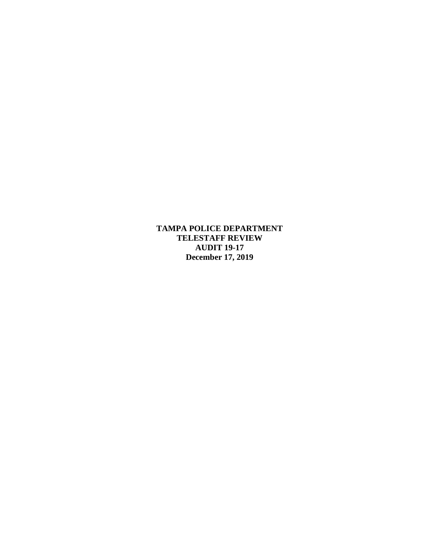**TAMPA POLICE DEPARTMENT TELESTAFF REVIEW AUDIT 19-17 December 17, 2019**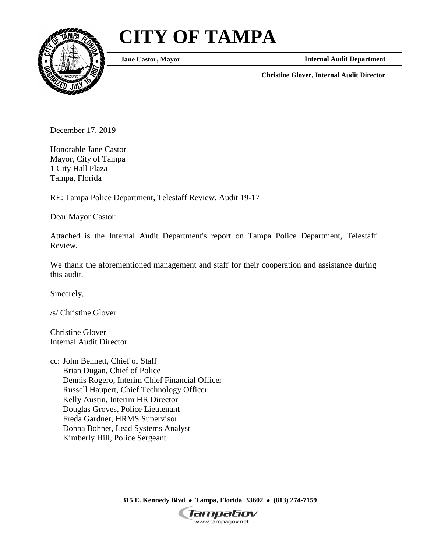# **CITY OF TAMPA**



**Jane Castor, Mayor**

**Internal Audit Department**

**Christine Glover, Internal Audit Director**

December 17, 2019

Honorable Jane Castor Mayor, City of Tampa 1 City Hall Plaza Tampa, Florida

RE: Tampa Police Department, Telestaff Review, Audit 19-17

Dear Mayor Castor:

Attached is the Internal Audit Department's report on Tampa Police Department, Telestaff Review.

We thank the aforementioned management and staff for their cooperation and assistance during this audit.

Sincerely,

/s/ Christine Glover

Christine Glover Internal Audit Director

cc: John Bennett, Chief of Staff Brian Dugan, Chief of Police Dennis Rogero, Interim Chief Financial Officer Russell Haupert, Chief Technology Officer Kelly Austin, Interim HR Director Douglas Groves, Police Lieutenant Freda Gardner, HRMS Supervisor Donna Bohnet, Lead Systems Analyst Kimberly Hill, Police Sergeant

> **315 E. Kennedy Blvd Tampa, Florida 33602 (813) 274-7159** TampaGov www.tampagov.net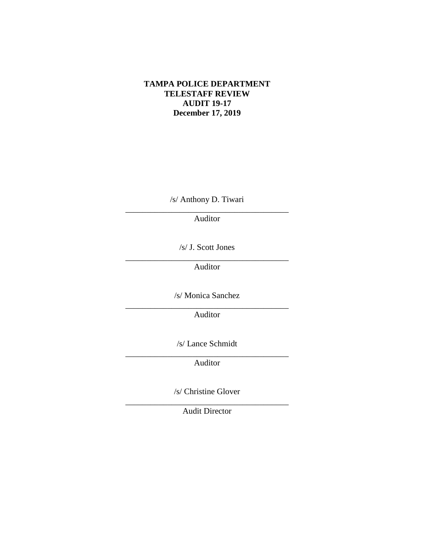#### **TAMPA POLICE DEPARTMENT TELESTAFF REVIEW AUDIT 19-17 December 17, 2019**

/s/ Anthony D. Tiwari \_\_\_\_\_\_\_\_\_\_\_\_\_\_\_\_\_\_\_\_\_\_\_\_\_\_\_\_\_\_\_\_\_\_\_\_\_\_\_

Auditor

/s/ J. Scott Jones

 $\overline{\phantom{a}}$  ,  $\overline{\phantom{a}}$  ,  $\overline{\phantom{a}}$  ,  $\overline{\phantom{a}}$  ,  $\overline{\phantom{a}}$  ,  $\overline{\phantom{a}}$  ,  $\overline{\phantom{a}}$  ,  $\overline{\phantom{a}}$  ,  $\overline{\phantom{a}}$  ,  $\overline{\phantom{a}}$  ,  $\overline{\phantom{a}}$  ,  $\overline{\phantom{a}}$  ,  $\overline{\phantom{a}}$  ,  $\overline{\phantom{a}}$  ,  $\overline{\phantom{a}}$  ,  $\overline{\phantom{a}}$ 

Auditor

/s/ Monica Sanchez \_\_\_\_\_\_\_\_\_\_\_\_\_\_\_\_\_\_\_\_\_\_\_\_\_\_\_\_\_\_\_\_\_\_\_\_\_\_\_

Auditor

/s/ Lance Schmidt

\_\_\_\_\_\_\_\_\_\_\_\_\_\_\_\_\_\_\_\_\_\_\_\_\_\_\_\_\_\_\_\_\_\_\_\_\_\_\_ Auditor

/s/ Christine Glover

\_\_\_\_\_\_\_\_\_\_\_\_\_\_\_\_\_\_\_\_\_\_\_\_\_\_\_\_\_\_\_\_\_\_\_\_\_\_\_ Audit Director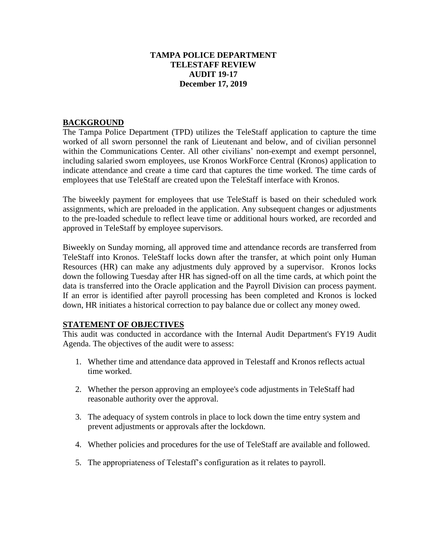## **TAMPA POLICE DEPARTMENT TELESTAFF REVIEW AUDIT 19-17 December 17, 2019**

## **BACKGROUND**

The Tampa Police Department (TPD) utilizes the TeleStaff application to capture the time worked of all sworn personnel the rank of Lieutenant and below, and of civilian personnel within the Communications Center. All other civilians' non-exempt and exempt personnel, including salaried sworn employees, use Kronos WorkForce Central (Kronos) application to indicate attendance and create a time card that captures the time worked. The time cards of employees that use TeleStaff are created upon the TeleStaff interface with Kronos.

The biweekly payment for employees that use TeleStaff is based on their scheduled work assignments, which are preloaded in the application. Any subsequent changes or adjustments to the pre-loaded schedule to reflect leave time or additional hours worked, are recorded and approved in TeleStaff by employee supervisors.

Biweekly on Sunday morning, all approved time and attendance records are transferred from TeleStaff into Kronos. TeleStaff locks down after the transfer, at which point only Human Resources (HR) can make any adjustments duly approved by a supervisor. Kronos locks down the following Tuesday after HR has signed-off on all the time cards, at which point the data is transferred into the Oracle application and the Payroll Division can process payment. If an error is identified after payroll processing has been completed and Kronos is locked down, HR initiates a historical correction to pay balance due or collect any money owed.

# **STATEMENT OF OBJECTIVES**

This audit was conducted in accordance with the Internal Audit Department's FY19 Audit Agenda. The objectives of the audit were to assess:

- 1. Whether time and attendance data approved in Telestaff and Kronos reflects actual time worked.
- 2. Whether the person approving an employee's code adjustments in TeleStaff had reasonable authority over the approval.
- 3. The adequacy of system controls in place to lock down the time entry system and prevent adjustments or approvals after the lockdown.
- 4. Whether policies and procedures for the use of TeleStaff are available and followed.
- 5. The appropriateness of Telestaff's configuration as it relates to payroll.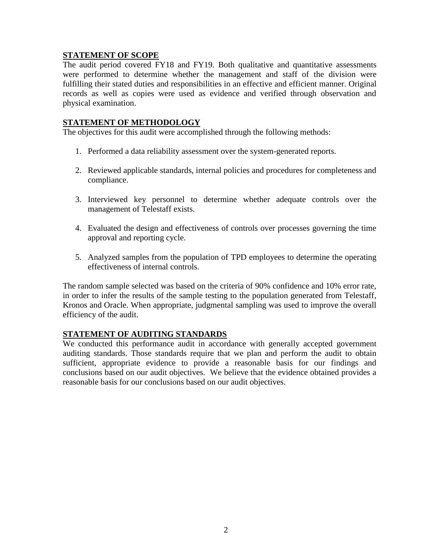## **STATEMENT OF SCOPE**

The audit period covered FY18 and FY19. Both qualitative and quantitative assessments were performed to determine whether the management and staff of the division were fulfilling their stated duties and responsibilities in an effective and efficient manner. Original records as well as copies were used as evidence and verified through observation and physical examination.

#### **STATEMENT OF METHODOLOGY**

The objectives for this audit were accomplished through the following methods:

- 1. Performed a data reliability assessment over the system-generated reports.
- 2. Reviewed applicable standards, internal policies and procedures for completeness and compliance.
- 3. Interviewed key personnel to determine whether adequate controls over the management of Telestaff exists.
- 4. Evaluated the design and effectiveness of controls over processes governing the time approval and reporting cycle.
- 5. Analyzed samples from the population of TPD employees to determine the operating effectiveness of internal controls.

The random sample selected was based on the criteria of 90% confidence and 10% error rate, in order to infer the results of the sample testing to the population generated from Telestaff, Kronos and Oracle. When appropriate, judgmental sampling was used to improve the overall efficiency of the audit.

## **STATEMENT OF AUDITING STANDARDS**

We conducted this performance audit in accordance with generally accepted government auditing standards. Those standards require that we plan and perform the audit to obtain sufficient, appropriate evidence to provide a reasonable basis for our findings and conclusions based on our audit objectives. We believe that the evidence obtained provides a reasonable basis for our conclusions based on our audit objectives.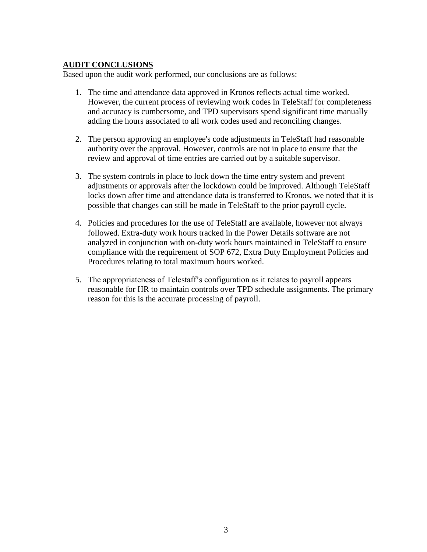#### **AUDIT CONCLUSIONS**

Based upon the audit work performed, our conclusions are as follows:

- 1. The time and attendance data approved in Kronos reflects actual time worked. However, the current process of reviewing work codes in TeleStaff for completeness and accuracy is cumbersome, and TPD supervisors spend significant time manually adding the hours associated to all work codes used and reconciling changes.
- 2. The person approving an employee's code adjustments in TeleStaff had reasonable authority over the approval. However, controls are not in place to ensure that the review and approval of time entries are carried out by a suitable supervisor.
- 3. The system controls in place to lock down the time entry system and prevent adjustments or approvals after the lockdown could be improved. Although TeleStaff locks down after time and attendance data is transferred to Kronos, we noted that it is possible that changes can still be made in TeleStaff to the prior payroll cycle.
- 4. Policies and procedures for the use of TeleStaff are available, however not always followed. Extra-duty work hours tracked in the Power Details software are not analyzed in conjunction with on-duty work hours maintained in TeleStaff to ensure compliance with the requirement of SOP 672, Extra Duty Employment Policies and Procedures relating to total maximum hours worked.
- 5. The appropriateness of Telestaff's configuration as it relates to payroll appears reasonable for HR to maintain controls over TPD schedule assignments. The primary reason for this is the accurate processing of payroll.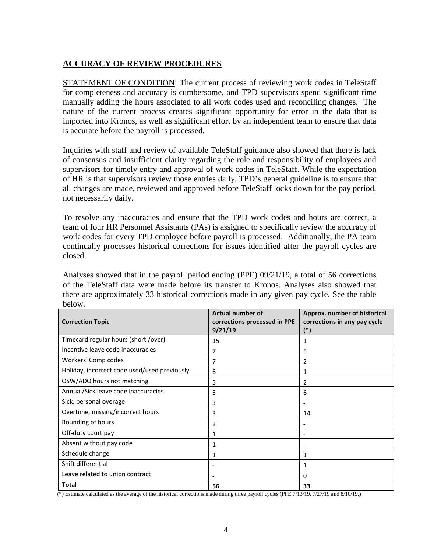# **ACCURACY OF REVIEW PROCEDURES**

STATEMENT OF CONDITION: The current process of reviewing work codes in TeleStaff for completeness and accuracy is cumbersome, and TPD supervisors spend significant time manually adding the hours associated to all work codes used and reconciling changes. The nature of the current process creates significant opportunity for error in the data that is imported into Kronos, as well as significant effort by an independent team to ensure that data is accurate before the payroll is processed.

Inquiries with staff and review of available TeleStaff guidance also showed that there is lack of consensus and insufficient clarity regarding the role and responsibility of employees and supervisors for timely entry and approval of work codes in TeleStaff. While the expectation of HR is that supervisors review those entries daily, TPD's general guideline is to ensure that all changes are made, reviewed and approved before TeleStaff locks down for the pay period, not necessarily daily.

To resolve any inaccuracies and ensure that the TPD work codes and hours are correct, a team of four HR Personnel Assistants (PAs) is assigned to specifically review the accuracy of work codes for every TPD employee before payroll is processed. Additionally, the PA team continually processes historical corrections for issues identified after the payroll cycles are closed.

Analyses showed that in the payroll period ending (PPE) 09/21/19, a total of 56 corrections of the TeleStaff data were made before its transfer to Kronos. Analyses also showed that there are approximately 33 historical corrections made in any given pay cycle. See the table below.

| <b>Correction Topic</b>                      | <b>Actual number of</b><br>corrections processed in PPE<br>9/21/19 | Approx. number of historical<br>corrections in any pay cycle<br>(*) |  |
|----------------------------------------------|--------------------------------------------------------------------|---------------------------------------------------------------------|--|
| Timecard regular hours (short /over)         | 15                                                                 |                                                                     |  |
| Incentive leave code inaccuracies            | 7                                                                  | 5                                                                   |  |
| Workers' Comp codes                          | 7                                                                  | 2                                                                   |  |
| Holiday, incorrect code used/used previously | 6                                                                  | 1                                                                   |  |
| OSW/ADO hours not matching                   | 5                                                                  | 2                                                                   |  |
| Annual/Sick leave code inaccuracies          | 5                                                                  | 6                                                                   |  |
| Sick, personal overage                       | 3                                                                  |                                                                     |  |
| Overtime, missing/incorrect hours            | 3                                                                  | 14                                                                  |  |
| Rounding of hours                            | 2                                                                  |                                                                     |  |
| Off-duty court pay                           | 1                                                                  |                                                                     |  |
| Absent without pay code                      | 1                                                                  | $\overline{\phantom{0}}$                                            |  |
| Schedule change                              | 1                                                                  | 1                                                                   |  |
| Shift differential                           | $\overline{\phantom{a}}$                                           | 1                                                                   |  |
| Leave related to union contract              |                                                                    | 0                                                                   |  |
| <b>Total</b>                                 | 56                                                                 | 33                                                                  |  |

(\*) Estimate calculated as the average of the historical corrections made during three payroll cycles (PPE 7/13/19, 7/27/19 and 8/10/19.)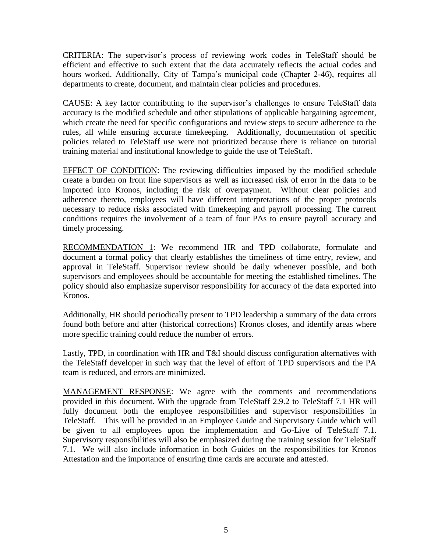CRITERIA: The supervisor's process of reviewing work codes in TeleStaff should be efficient and effective to such extent that the data accurately reflects the actual codes and hours worked. Additionally, City of Tampa's municipal code (Chapter 2-46), requires all departments to create, document, and maintain clear policies and procedures.

CAUSE: A key factor contributing to the supervisor's challenges to ensure TeleStaff data accuracy is the modified schedule and other stipulations of applicable bargaining agreement, which create the need for specific configurations and review steps to secure adherence to the rules, all while ensuring accurate timekeeping. Additionally, documentation of specific policies related to TeleStaff use were not prioritized because there is reliance on tutorial training material and institutional knowledge to guide the use of TeleStaff.

EFFECT OF CONDITION: The reviewing difficulties imposed by the modified schedule create a burden on front line supervisors as well as increased risk of error in the data to be imported into Kronos, including the risk of overpayment. Without clear policies and adherence thereto, employees will have different interpretations of the proper protocols necessary to reduce risks associated with timekeeping and payroll processing. The current conditions requires the involvement of a team of four PAs to ensure payroll accuracy and timely processing.

RECOMMENDATION 1: We recommend HR and TPD collaborate, formulate and document a formal policy that clearly establishes the timeliness of time entry, review, and approval in TeleStaff. Supervisor review should be daily whenever possible, and both supervisors and employees should be accountable for meeting the established timelines. The policy should also emphasize supervisor responsibility for accuracy of the data exported into Kronos.

Additionally, HR should periodically present to TPD leadership a summary of the data errors found both before and after (historical corrections) Kronos closes, and identify areas where more specific training could reduce the number of errors.

Lastly, TPD, in coordination with HR and T&I should discuss configuration alternatives with the TeleStaff developer in such way that the level of effort of TPD supervisors and the PA team is reduced, and errors are minimized.

MANAGEMENT RESPONSE: We agree with the comments and recommendations provided in this document. With the upgrade from TeleStaff 2.9.2 to TeleStaff 7.1 HR will fully document both the employee responsibilities and supervisor responsibilities in TeleStaff. This will be provided in an Employee Guide and Supervisory Guide which will be given to all employees upon the implementation and Go-Live of TeleStaff 7.1. Supervisory responsibilities will also be emphasized during the training session for TeleStaff 7.1. We will also include information in both Guides on the responsibilities for Kronos Attestation and the importance of ensuring time cards are accurate and attested.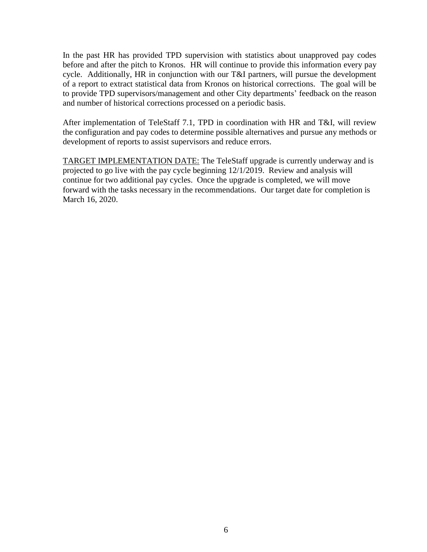In the past HR has provided TPD supervision with statistics about unapproved pay codes before and after the pitch to Kronos. HR will continue to provide this information every pay cycle. Additionally, HR in conjunction with our T&I partners, will pursue the development of a report to extract statistical data from Kronos on historical corrections. The goal will be to provide TPD supervisors/management and other City departments' feedback on the reason and number of historical corrections processed on a periodic basis.

After implementation of TeleStaff 7.1, TPD in coordination with HR and T&I, will review the configuration and pay codes to determine possible alternatives and pursue any methods or development of reports to assist supervisors and reduce errors.

TARGET IMPLEMENTATION DATE: The TeleStaff upgrade is currently underway and is projected to go live with the pay cycle beginning 12/1/2019. Review and analysis will continue for two additional pay cycles. Once the upgrade is completed, we will move forward with the tasks necessary in the recommendations. Our target date for completion is March 16, 2020.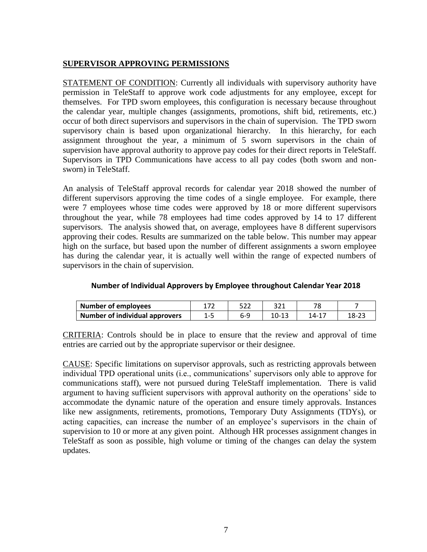## **SUPERVISOR APPROVING PERMISSIONS**

STATEMENT OF CONDITION: Currently all individuals with supervisory authority have permission in TeleStaff to approve work code adjustments for any employee, except for themselves. For TPD sworn employees, this configuration is necessary because throughout the calendar year, multiple changes (assignments, promotions, shift bid, retirements, etc.) occur of both direct supervisors and supervisors in the chain of supervision. The TPD sworn supervisory chain is based upon organizational hierarchy. In this hierarchy, for each assignment throughout the year, a minimum of 5 sworn supervisors in the chain of supervision have approval authority to approve pay codes for their direct reports in TeleStaff. Supervisors in TPD Communications have access to all pay codes (both sworn and nonsworn) in TeleStaff.

An analysis of TeleStaff approval records for calendar year 2018 showed the number of different supervisors approving the time codes of a single employee. For example, there were 7 employees whose time codes were approved by 18 or more different supervisors throughout the year, while 78 employees had time codes approved by 14 to 17 different supervisors. The analysis showed that, on average, employees have 8 different supervisors approving their codes. Results are summarized on the table below. This number may appear high on the surface, but based upon the number of different assignments a sworn employee has during the calendar year, it is actually well within the range of expected numbers of supervisors in the chain of supervision.

| <b>Number of employees</b>            | רים |       |       |           |
|---------------------------------------|-----|-------|-------|-----------|
| <b>Number of individual approvers</b> | b-5 | 10-13 | 14-1. | $18 - 2.$ |

#### **Number of Individual Approvers by Employee throughout Calendar Year 2018**

CRITERIA: Controls should be in place to ensure that the review and approval of time entries are carried out by the appropriate supervisor or their designee.

CAUSE: Specific limitations on supervisor approvals, such as restricting approvals between individual TPD operational units (i.e., communications' supervisors only able to approve for communications staff), were not pursued during TeleStaff implementation. There is valid argument to having sufficient supervisors with approval authority on the operations' side to accommodate the dynamic nature of the operation and ensure timely approvals. Instances like new assignments, retirements, promotions, Temporary Duty Assignments (TDYs), or acting capacities, can increase the number of an employee's supervisors in the chain of supervision to 10 or more at any given point. Although HR processes assignment changes in TeleStaff as soon as possible, high volume or timing of the changes can delay the system updates.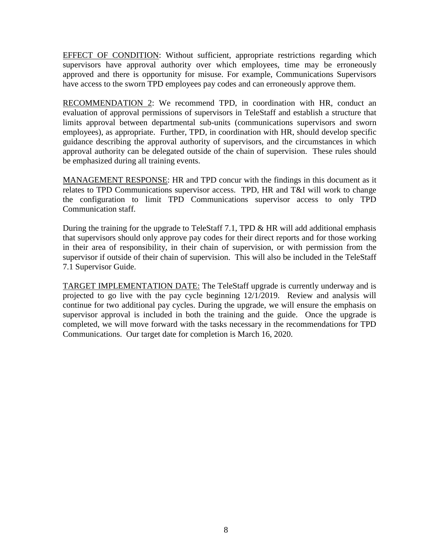EFFECT OF CONDITION: Without sufficient, appropriate restrictions regarding which supervisors have approval authority over which employees, time may be erroneously approved and there is opportunity for misuse. For example, Communications Supervisors have access to the sworn TPD employees pay codes and can erroneously approve them.

RECOMMENDATION 2: We recommend TPD, in coordination with HR, conduct an evaluation of approval permissions of supervisors in TeleStaff and establish a structure that limits approval between departmental sub-units (communications supervisors and sworn employees), as appropriate. Further, TPD, in coordination with HR, should develop specific guidance describing the approval authority of supervisors, and the circumstances in which approval authority can be delegated outside of the chain of supervision. These rules should be emphasized during all training events.

MANAGEMENT RESPONSE: HR and TPD concur with the findings in this document as it relates to TPD Communications supervisor access. TPD, HR and T&I will work to change the configuration to limit TPD Communications supervisor access to only TPD Communication staff.

During the training for the upgrade to TeleStaff 7.1, TPD  $\&$  HR will add additional emphasis that supervisors should only approve pay codes for their direct reports and for those working in their area of responsibility, in their chain of supervision, or with permission from the supervisor if outside of their chain of supervision. This will also be included in the TeleStaff 7.1 Supervisor Guide.

TARGET IMPLEMENTATION DATE: The TeleStaff upgrade is currently underway and is projected to go live with the pay cycle beginning 12/1/2019. Review and analysis will continue for two additional pay cycles. During the upgrade, we will ensure the emphasis on supervisor approval is included in both the training and the guide. Once the upgrade is completed, we will move forward with the tasks necessary in the recommendations for TPD Communications. Our target date for completion is March 16, 2020.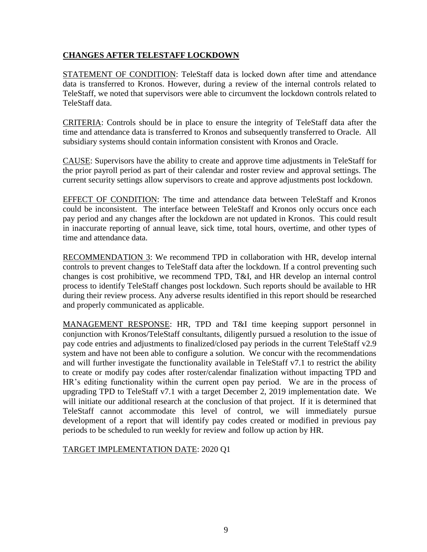# **CHANGES AFTER TELESTAFF LOCKDOWN**

STATEMENT OF CONDITION: TeleStaff data is locked down after time and attendance data is transferred to Kronos. However, during a review of the internal controls related to TeleStaff, we noted that supervisors were able to circumvent the lockdown controls related to TeleStaff data.

CRITERIA: Controls should be in place to ensure the integrity of TeleStaff data after the time and attendance data is transferred to Kronos and subsequently transferred to Oracle. All subsidiary systems should contain information consistent with Kronos and Oracle.

CAUSE: Supervisors have the ability to create and approve time adjustments in TeleStaff for the prior payroll period as part of their calendar and roster review and approval settings. The current security settings allow supervisors to create and approve adjustments post lockdown.

EFFECT OF CONDITION: The time and attendance data between TeleStaff and Kronos could be inconsistent. The interface between TeleStaff and Kronos only occurs once each pay period and any changes after the lockdown are not updated in Kronos. This could result in inaccurate reporting of annual leave, sick time, total hours, overtime, and other types of time and attendance data.

RECOMMENDATION 3: We recommend TPD in collaboration with HR, develop internal controls to prevent changes to TeleStaff data after the lockdown. If a control preventing such changes is cost prohibitive, we recommend TPD, T&I, and HR develop an internal control process to identify TeleStaff changes post lockdown. Such reports should be available to HR during their review process. Any adverse results identified in this report should be researched and properly communicated as applicable.

MANAGEMENT RESPONSE: HR, TPD and T&I time keeping support personnel in conjunction with Kronos/TeleStaff consultants, diligently pursued a resolution to the issue of pay code entries and adjustments to finalized/closed pay periods in the current TeleStaff v2.9 system and have not been able to configure a solution. We concur with the recommendations and will further investigate the functionality available in TeleStaff v7.1 to restrict the ability to create or modify pay codes after roster/calendar finalization without impacting TPD and HR's editing functionality within the current open pay period. We are in the process of upgrading TPD to TeleStaff v7.1 with a target December 2, 2019 implementation date. We will initiate our additional research at the conclusion of that project. If it is determined that TeleStaff cannot accommodate this level of control, we will immediately pursue development of a report that will identify pay codes created or modified in previous pay periods to be scheduled to run weekly for review and follow up action by HR.

# TARGET IMPLEMENTATION DATE: 2020 Q1